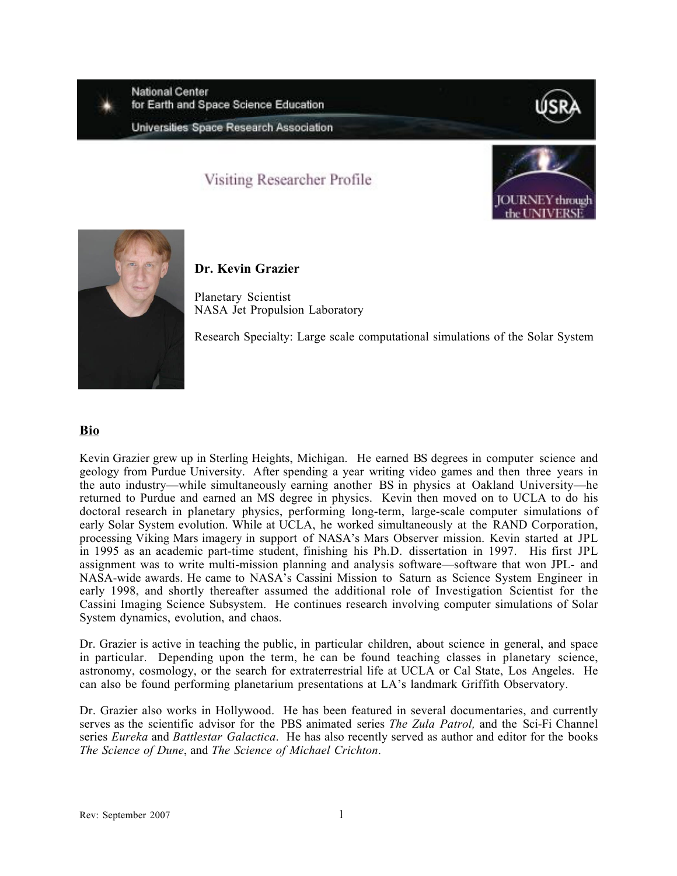**National Center** for Earth and Space Science Education



# Visiting Researcher Profile





## **Dr. Kevin Grazier**

Planetary Scientist NASA Jet Propulsion Laboratory

Research Specialty: Large scale computational simulations of the Solar System

## **Bio**

Kevin Grazier grew up in Sterling Heights, Michigan. He earned BS degrees in computer science and geology from Purdue University. After spending a year writing video games and then three years in the auto industry—while simultaneously earning another BS in physics at Oakland University—he returned to Purdue and earned an MS degree in physics. Kevin then moved on to UCLA to do his doctoral research in planetary physics, performing long-term, large-scale computer simulations of early Solar System evolution. While at UCLA, he worked simultaneously at the RAND Corporation, processing Viking Mars imagery in support of NASA's Mars Observer mission. Kevin started at JPL in 1995 as an academic part-time student, finishing his Ph.D. dissertation in 1997. His first JPL assignment was to write multi-mission planning and analysis software—software that won JPL- and NASA-wide awards. He came to NASA's Cassini Mission to Saturn as Science System Engineer in early 1998, and shortly thereafter assumed the additional role of Investigation Scientist for the Cassini Imaging Science Subsystem. He continues research involving computer simulations of Solar System dynamics, evolution, and chaos.

Dr. Grazier is active in teaching the public, in particular children, about science in general, and space in particular. Depending upon the term, he can be found teaching classes in planetary science, astronomy, cosmology, or the search for extraterrestrial life at UCLA or Cal State, Los Angeles. He can also be found performing planetarium presentations at LA's landmark Griffith Observatory.

Dr. Grazier also works in Hollywood. He has been featured in several documentaries, and currently serves as the scientific advisor for the PBS animated series *The Zula Patrol,* and the Sci-Fi Channel series *Eureka* and *Battlestar Galactica*. He has also recently served as author and editor for the books *The Science of Dune*, and *The Science of Michael Crichton*.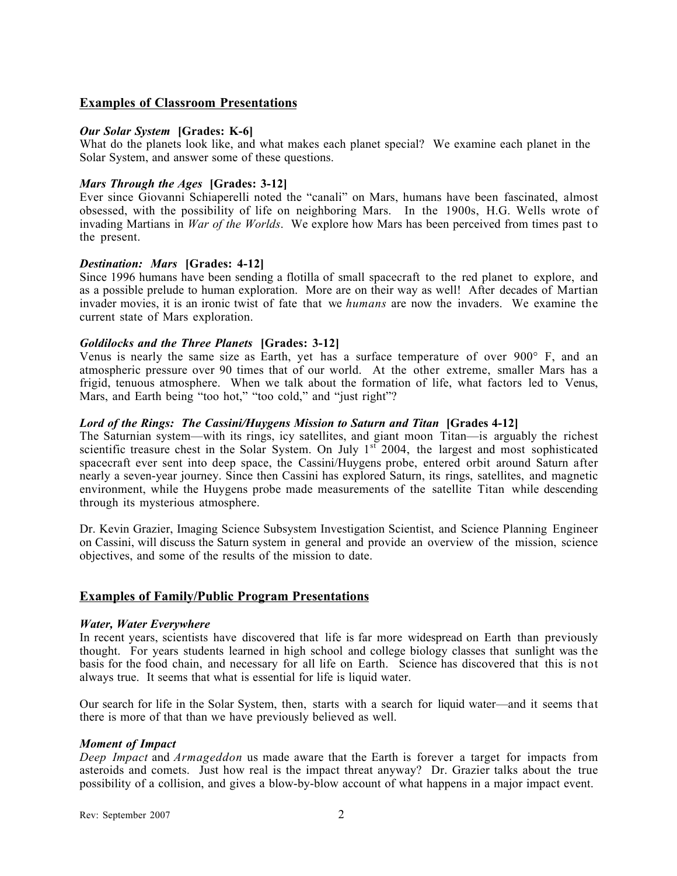## **Examples of Classroom Presentations**

#### *Our Solar System* **[Grades: K-6]**

What do the planets look like, and what makes each planet special? We examine each planet in the Solar System, and answer some of these questions.

#### *Mars Through the Ages* **[Grades: 3-12]**

Ever since Giovanni Schiaperelli noted the "canali" on Mars, humans have been fascinated, almost obsessed, with the possibility of life on neighboring Mars. In the 1900s, H.G. Wells wrote of invading Martians in *War of the Worlds*. We explore how Mars has been perceived from times past to the present.

#### *Destination: Mars* **[Grades: 4-12]**

Since 1996 humans have been sending a flotilla of small spacecraft to the red planet to explore, and as a possible prelude to human exploration. More are on their way as well! After decades of Martian invader movies, it is an ironic twist of fate that we *humans* are now the invaders. We examine the current state of Mars exploration.

#### *Goldilocks and the Three Planets* **[Grades: 3-12]**

Venus is nearly the same size as Earth, yet has a surface temperature of over 900° F, and an atmospheric pressure over 90 times that of our world. At the other extreme, smaller Mars has a frigid, tenuous atmosphere. When we talk about the formation of life, what factors led to Venus, Mars, and Earth being "too hot," "too cold," and "just right"?

#### *Lord of the Rings: The Cassini/Huygens Mission to Saturn and Titan* **[Grades 4-12]**

The Saturnian system—with its rings, icy satellites, and giant moon Titan—is arguably the richest scientific treasure chest in the Solar System. On July 1<sup>st 2004</sup>, the largest and most sophisticated spacecraft ever sent into deep space, the Cassini/Huygens probe, entered orbit around Saturn after nearly a seven-year journey. Since then Cassini has explored Saturn, its rings, satellites, and magnetic environment, while the Huygens probe made measurements of the satellite Titan while descending through its mysterious atmosphere.

Dr. Kevin Grazier, Imaging Science Subsystem Investigation Scientist, and Science Planning Engineer on Cassini, will discuss the Saturn system in general and provide an overview of the mission, science objectives, and some of the results of the mission to date.

### **Examples of Family/Public Program Presentations**

#### *Water, Water Everywhere*

In recent years, scientists have discovered that life is far more widespread on Earth than previously thought. For years students learned in high school and college biology classes that sunlight was the basis for the food chain, and necessary for all life on Earth. Science has discovered that this is not always true. It seems that what is essential for life is liquid water.

Our search for life in the Solar System, then, starts with a search for liquid water—and it seems that there is more of that than we have previously believed as well.

#### *Moment of Impact*

*Deep Impact* and *Armageddon* us made aware that the Earth is forever a target for impacts from asteroids and comets. Just how real is the impact threat anyway? Dr. Grazier talks about the true possibility of a collision, and gives a blow-by-blow account of what happens in a major impact event.